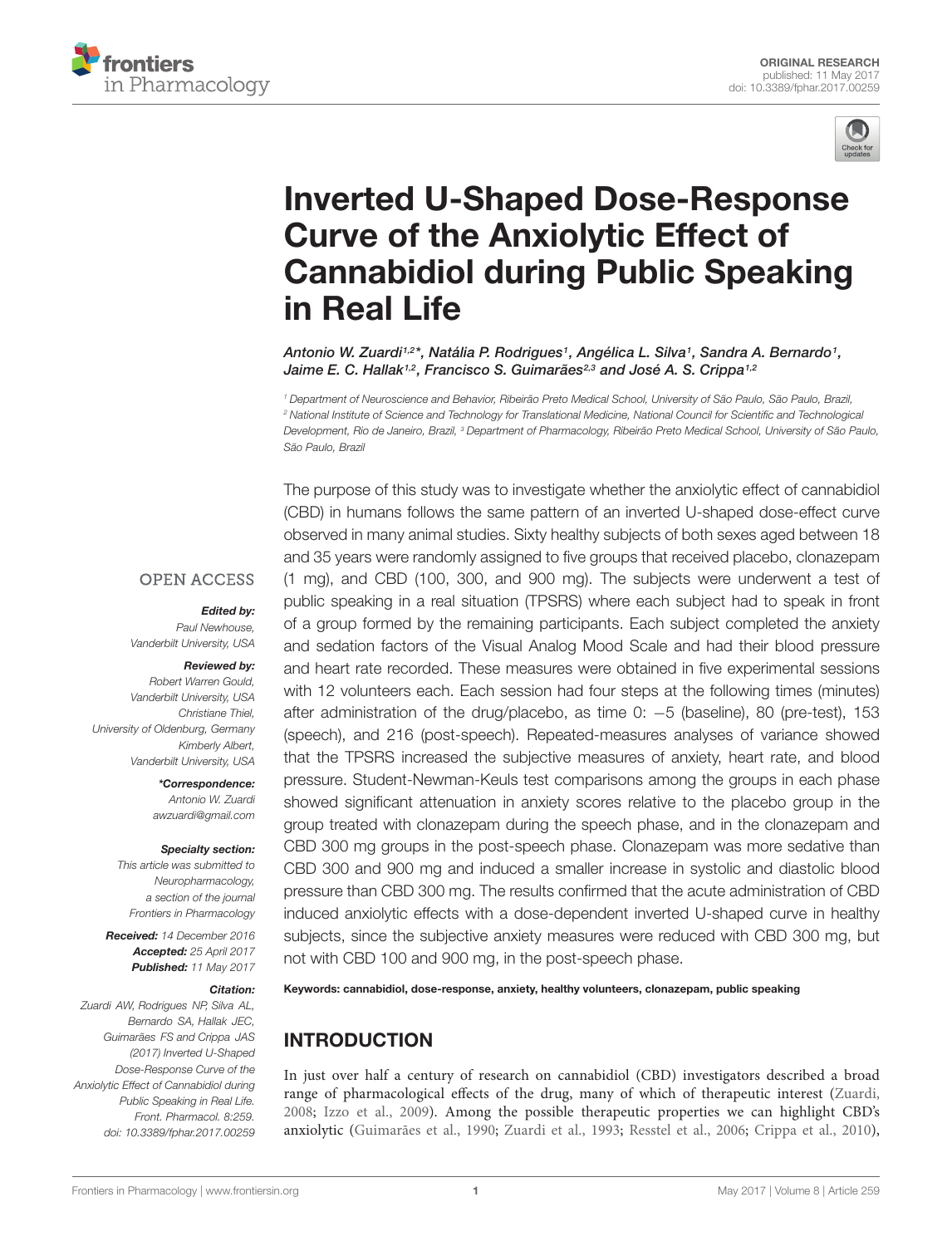



# Inverted U-Shaped Dose-Response Curve of the Anxiolytic Effect of [Cannabidiol during Public Speaking](http://journal.frontiersin.org/article/10.3389/fphar.2017.00259/abstract) in Real Life

[Antonio W. Zuardi](http://loop.frontiersin.org/people/76826/overview)1,2\*, [Natália P. Rodrigues](http://loop.frontiersin.org/people/435823/overview)1, [Angélica L. Silva](http://loop.frontiersin.org/people/422561/overview)1, [Sandra A. Bernardo](http://loop.frontiersin.org/people/436057/overview)1, [Jaime E. C. Hallak](http://loop.frontiersin.org/people/115869/overview)1,2, [Francisco S. Guimarães](http://loop.frontiersin.org/people/40439/overview)2,3 and [José A. S. Crippa](http://loop.frontiersin.org/people/75853/overview)1,2

<sup>1</sup> Department of Neuroscience and Behavior, Ribeirão Preto Medical School, University of São Paulo, São Paulo, Brazil, <sup>2</sup> National Institute of Science and Technology for Translational Medicine, National Council for Scientific and Technological Development, Rio de Janeiro, Brazil, <sup>3</sup> Department of Pharmacology, Ribeirão Preto Medical School, University of São Paulo, São Paulo, Brazil

The purpose of this study was to investigate whether the anxiolytic effect of cannabidiol

**OPEN ACCESS** 

### Edited by:

Paul Newhouse, Vanderbilt University, USA

# Reviewed by:

Robert Warren Gould, Vanderbilt University, USA Christiane Thiel, University of Oldenburg, Germany Kimberly Albert, Vanderbilt University, USA

> \*Correspondence: Antonio W. Zuardi awzuardi@gmail.com

### Specialty section:

This article was submitted to Neuropharmacology, a section of the journal Frontiers in Pharmacology

Received: 14 December 2016 Accepted: 25 April 2017 Published: 11 May 2017

### Citation:

Zuardi AW, Rodrigues NP, Silva AL, Bernardo SA, Hallak JEC, Guimarães FS and Crippa JAS (2017) Inverted U-Shaped Dose-Response Curve of the Anxiolytic Effect of Cannabidiol during Public Speaking in Real Life. Front. Pharmacol. 8:259. doi: [10.3389/fphar.2017.00259](https://doi.org/10.3389/fphar.2017.00259) (CBD) in humans follows the same pattern of an inverted U-shaped dose-effect curve observed in many animal studies. Sixty healthy subjects of both sexes aged between 18 and 35 years were randomly assigned to five groups that received placebo, clonazepam (1 mg), and CBD (100, 300, and 900 mg). The subjects were underwent a test of public speaking in a real situation (TPSRS) where each subject had to speak in front of a group formed by the remaining participants. Each subject completed the anxiety and sedation factors of the Visual Analog Mood Scale and had their blood pressure and heart rate recorded. These measures were obtained in five experimental sessions with 12 volunteers each. Each session had four steps at the following times (minutes) after administration of the drug/placebo, as time 0: −5 (baseline), 80 (pre-test), 153 (speech), and 216 (post-speech). Repeated-measures analyses of variance showed that the TPSRS increased the subjective measures of anxiety, heart rate, and blood pressure. Student-Newman-Keuls test comparisons among the groups in each phase showed significant attenuation in anxiety scores relative to the placebo group in the group treated with clonazepam during the speech phase, and in the clonazepam and CBD 300 mg groups in the post-speech phase. Clonazepam was more sedative than CBD 300 and 900 mg and induced a smaller increase in systolic and diastolic blood pressure than CBD 300 mg. The results confirmed that the acute administration of CBD induced anxiolytic effects with a dose-dependent inverted U-shaped curve in healthy subjects, since the subjective anxiety measures were reduced with CBD 300 mg, but not with CBD 100 and 900 mg, in the post-speech phase.

Keywords: cannabidiol, dose-response, anxiety, healthy volunteers, clonazepam, public speaking

# INTRODUCTION

In just over half a century of research on cannabidiol (CBD) investigators described a broad range of pharmacological effects of the drug, many of which of therapeutic interest [\(Zuardi,](#page-8-0) [2008;](#page-8-0) [Izzo et al.,](#page-7-0) [2009\)](#page-7-0). Among the possible therapeutic properties we can highlight CBD's anxiolytic [\(Guimarães et al.,](#page-7-1) [1990;](#page-7-1) [Zuardi et al.,](#page-8-1) [1993;](#page-8-1) [Resstel et al.,](#page-7-2) [2006;](#page-7-2) [Crippa et al.,](#page-7-3) [2010\)](#page-7-3),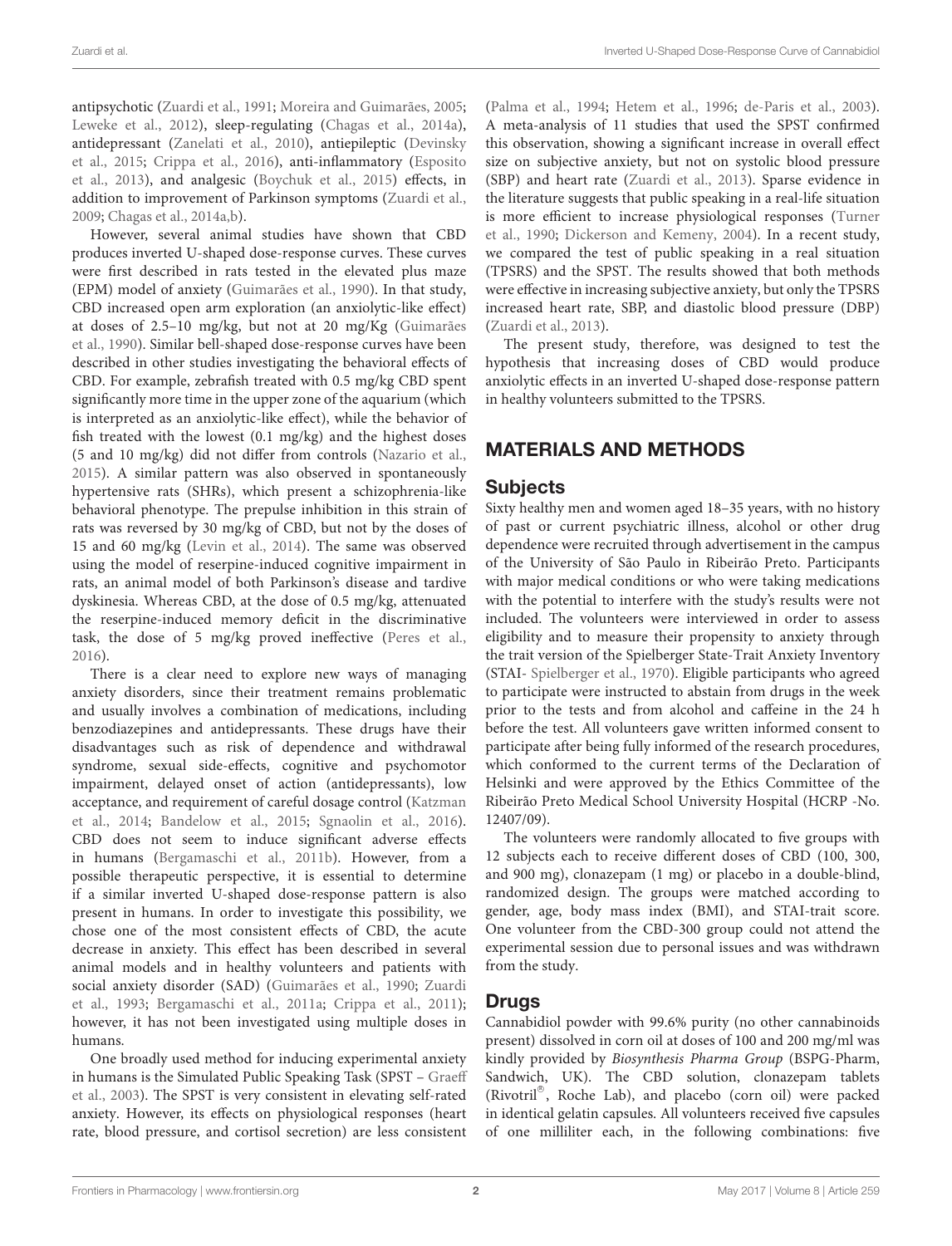antipsychotic [\(Zuardi et al.,](#page-8-2) [1991;](#page-8-2) [Moreira and Guimarães,](#page-7-4) [2005;](#page-7-4) [Leweke et al.,](#page-7-5) [2012\)](#page-7-5), sleep-regulating [\(Chagas et al.,](#page-7-6) [2014a\)](#page-7-6), antidepressant [\(Zanelati et al.,](#page-8-3) [2010\)](#page-8-3), antiepileptic [\(Devinsky](#page-7-7) [et al.,](#page-7-7) [2015;](#page-7-7) [Crippa et al.,](#page-7-8) [2016\)](#page-7-8), anti-inflammatory [\(Esposito](#page-7-9) [et al.,](#page-7-9) [2013\)](#page-7-9), and analgesic [\(Boychuk et al.,](#page-6-0) [2015\)](#page-6-0) effects, in addition to improvement of Parkinson symptoms [\(Zuardi et al.,](#page-8-4) [2009;](#page-8-4) [Chagas et al.,](#page-7-6) [2014a,](#page-7-6)[b\)](#page-7-10).

However, several animal studies have shown that CBD produces inverted U-shaped dose-response curves. These curves were first described in rats tested in the elevated plus maze (EPM) model of anxiety [\(Guimarães et al.,](#page-7-1) [1990\)](#page-7-1). In that study, CBD increased open arm exploration (an anxiolytic-like effect) at doses of 2.5–10 mg/kg, but not at 20 mg/Kg [\(Guimarães](#page-7-1) [et al.,](#page-7-1) [1990\)](#page-7-1). Similar bell-shaped dose-response curves have been described in other studies investigating the behavioral effects of CBD. For example, zebrafish treated with 0.5 mg/kg CBD spent significantly more time in the upper zone of the aquarium (which is interpreted as an anxiolytic-like effect), while the behavior of fish treated with the lowest (0.1 mg/kg) and the highest doses (5 and 10 mg/kg) did not differ from controls [\(Nazario et al.,](#page-7-11) [2015\)](#page-7-11). A similar pattern was also observed in spontaneously hypertensive rats (SHRs), which present a schizophrenia-like behavioral phenotype. The prepulse inhibition in this strain of rats was reversed by 30 mg/kg of CBD, but not by the doses of 15 and 60 mg/kg [\(Levin et al.,](#page-7-12) [2014\)](#page-7-12). The same was observed using the model of reserpine-induced cognitive impairment in rats, an animal model of both Parkinson's disease and tardive dyskinesia. Whereas CBD, at the dose of 0.5 mg/kg, attenuated the reserpine-induced memory deficit in the discriminative task, the dose of 5 mg/kg proved ineffective [\(Peres et al.,](#page-7-13) [2016\)](#page-7-13).

There is a clear need to explore new ways of managing anxiety disorders, since their treatment remains problematic and usually involves a combination of medications, including benzodiazepines and antidepressants. These drugs have their disadvantages such as risk of dependence and withdrawal syndrome, sexual side-effects, cognitive and psychomotor impairment, delayed onset of action (antidepressants), low acceptance, and requirement of careful dosage control [\(Katzman](#page-7-14) [et al.,](#page-7-14) [2014;](#page-7-14) [Bandelow et al.,](#page-6-1) [2015;](#page-6-1) [Sgnaolin et al.,](#page-7-15) [2016\)](#page-7-15). CBD does not seem to induce significant adverse effects in humans [\(Bergamaschi et al.,](#page-6-2) [2011b\)](#page-6-2). However, from a possible therapeutic perspective, it is essential to determine if a similar inverted U-shaped dose-response pattern is also present in humans. In order to investigate this possibility, we chose one of the most consistent effects of CBD, the acute decrease in anxiety. This effect has been described in several animal models and in healthy volunteers and patients with social anxiety disorder (SAD) [\(Guimarães et al.,](#page-7-1) [1990;](#page-7-1) [Zuardi](#page-8-1) [et al.,](#page-8-1) [1993;](#page-8-1) [Bergamaschi et al.,](#page-6-3) [2011a;](#page-6-3) [Crippa et al.,](#page-7-16) [2011\)](#page-7-16); however, it has not been investigated using multiple doses in humans.

One broadly used method for inducing experimental anxiety in humans is the Simulated Public Speaking Task (SPST – [Graeff](#page-7-17) [et al.,](#page-7-17) [2003\)](#page-7-17). The SPST is very consistent in elevating self-rated anxiety. However, its effects on physiological responses (heart rate, blood pressure, and cortisol secretion) are less consistent

[\(Palma et al.,](#page-7-18) [1994;](#page-7-18) [Hetem et al.,](#page-7-19) [1996;](#page-7-19) [de-Paris et al.,](#page-7-20) [2003\)](#page-7-20). A meta-analysis of 11 studies that used the SPST confirmed this observation, showing a significant increase in overall effect size on subjective anxiety, but not on systolic blood pressure (SBP) and heart rate [\(Zuardi et al.,](#page-8-5) [2013\)](#page-8-5). Sparse evidence in the literature suggests that public speaking in a real-life situation is more efficient to increase physiological responses [\(Turner](#page-8-6) [et al.,](#page-8-6) [1990;](#page-8-6) [Dickerson and Kemeny,](#page-7-21) [2004\)](#page-7-21). In a recent study, we compared the test of public speaking in a real situation (TPSRS) and the SPST. The results showed that both methods were effective in increasing subjective anxiety, but only the TPSRS increased heart rate, SBP, and diastolic blood pressure (DBP) [\(Zuardi et al.,](#page-8-5) [2013\)](#page-8-5).

The present study, therefore, was designed to test the hypothesis that increasing doses of CBD would produce anxiolytic effects in an inverted U-shaped dose-response pattern in healthy volunteers submitted to the TPSRS.

# MATERIALS AND METHODS

### **Subjects**

Sixty healthy men and women aged 18–35 years, with no history of past or current psychiatric illness, alcohol or other drug dependence were recruited through advertisement in the campus of the University of São Paulo in Ribeirão Preto. Participants with major medical conditions or who were taking medications with the potential to interfere with the study's results were not included. The volunteers were interviewed in order to assess eligibility and to measure their propensity to anxiety through the trait version of the Spielberger State-Trait Anxiety Inventory (STAI- [Spielberger et al.,](#page-8-7) [1970\)](#page-8-7). Eligible participants who agreed to participate were instructed to abstain from drugs in the week prior to the tests and from alcohol and caffeine in the 24 h before the test. All volunteers gave written informed consent to participate after being fully informed of the research procedures, which conformed to the current terms of the Declaration of Helsinki and were approved by the Ethics Committee of the Ribeirão Preto Medical School University Hospital (HCRP -No. 12407/09).

The volunteers were randomly allocated to five groups with 12 subjects each to receive different doses of CBD (100, 300, and 900 mg), clonazepam (1 mg) or placebo in a double-blind, randomized design. The groups were matched according to gender, age, body mass index (BMI), and STAI-trait score. One volunteer from the CBD-300 group could not attend the experimental session due to personal issues and was withdrawn from the study.

### Drugs

Cannabidiol powder with 99.6% purity (no other cannabinoids present) dissolved in corn oil at doses of 100 and 200 mg/ml was kindly provided by Biosynthesis Pharma Group (BSPG-Pharm, Sandwich, UK). The CBD solution, clonazepam tablets (Rivotril®, Roche Lab), and placebo (corn oil) were packed in identical gelatin capsules. All volunteers received five capsules of one milliliter each, in the following combinations: five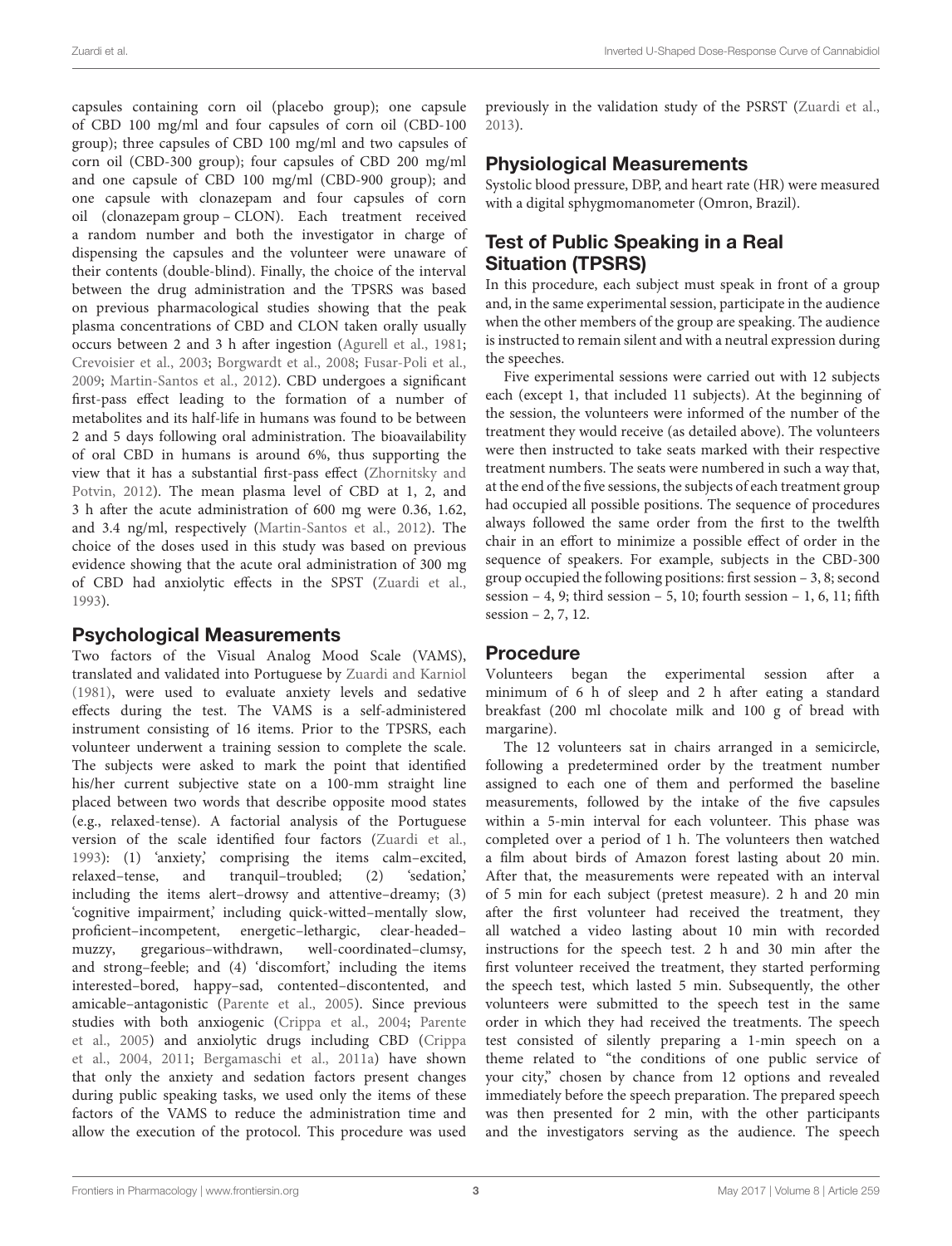capsules containing corn oil (placebo group); one capsule of CBD 100 mg/ml and four capsules of corn oil (CBD-100 group); three capsules of CBD 100 mg/ml and two capsules of corn oil (CBD-300 group); four capsules of CBD 200 mg/ml and one capsule of CBD 100 mg/ml (CBD-900 group); and one capsule with clonazepam and four capsules of corn oil (clonazepam group – CLON). Each treatment received a random number and both the investigator in charge of dispensing the capsules and the volunteer were unaware of their contents (double-blind). Finally, the choice of the interval between the drug administration and the TPSRS was based on previous pharmacological studies showing that the peak plasma concentrations of CBD and CLON taken orally usually occurs between 2 and 3 h after ingestion [\(Agurell et al.,](#page-6-4) [1981;](#page-6-4) [Crevoisier et al.,](#page-7-22) [2003;](#page-7-22) [Borgwardt et al.,](#page-6-5) [2008;](#page-6-5) [Fusar-Poli et al.,](#page-7-23) [2009;](#page-7-23) [Martin-Santos et al.,](#page-7-24) [2012\)](#page-7-24). CBD undergoes a significant first-pass effect leading to the formation of a number of metabolites and its half-life in humans was found to be between 2 and 5 days following oral administration. The bioavailability of oral CBD in humans is around 6%, thus supporting the view that it has a substantial first-pass effect [\(Zhornitsky and](#page-8-8) [Potvin,](#page-8-8) [2012\)](#page-8-8). The mean plasma level of CBD at 1, 2, and 3 h after the acute administration of 600 mg were 0.36, 1.62, and 3.4 ng/ml, respectively [\(Martin-Santos et al.,](#page-7-24) [2012\)](#page-7-24). The choice of the doses used in this study was based on previous evidence showing that the acute oral administration of 300 mg of CBD had anxiolytic effects in the SPST [\(Zuardi et al.,](#page-8-1) [1993\)](#page-8-1).

# Psychological Measurements

Two factors of the Visual Analog Mood Scale (VAMS), translated and validated into Portuguese by [Zuardi and Karniol](#page-8-9) [\(1981\)](#page-8-9), were used to evaluate anxiety levels and sedative effects during the test. The VAMS is a self-administered instrument consisting of 16 items. Prior to the TPSRS, each volunteer underwent a training session to complete the scale. The subjects were asked to mark the point that identified his/her current subjective state on a 100-mm straight line placed between two words that describe opposite mood states (e.g., relaxed-tense). A factorial analysis of the Portuguese version of the scale identified four factors [\(Zuardi et al.,](#page-8-1) [1993\)](#page-8-1): (1) 'anxiety,' comprising the items calm–excited, relaxed–tense, and tranquil–troubled; (2) 'sedation,' including the items alert–drowsy and attentive–dreamy; (3) 'cognitive impairment,' including quick-witted–mentally slow, proficient–incompetent, energetic–lethargic, clear-headed– muzzy, gregarious–withdrawn, well-coordinated–clumsy, and strong–feeble; and (4) 'discomfort,' including the items interested–bored, happy–sad, contented–discontented, and amicable–antagonistic [\(Parente et al.,](#page-7-25) [2005\)](#page-7-25). Since previous studies with both anxiogenic [\(Crippa et al.,](#page-7-26) [2004;](#page-7-26) [Parente](#page-7-25) [et al.,](#page-7-25) [2005\)](#page-7-25) and anxiolytic drugs including CBD [\(Crippa](#page-7-26) [et al.,](#page-7-26) [2004,](#page-7-26) [2011;](#page-7-16) [Bergamaschi et al.,](#page-6-3) [2011a\)](#page-6-3) have shown that only the anxiety and sedation factors present changes during public speaking tasks, we used only the items of these factors of the VAMS to reduce the administration time and allow the execution of the protocol. This procedure was used

previously in the validation study of the PSRST [\(Zuardi et al.,](#page-8-5) [2013\)](#page-8-5).

# Physiological Measurements

Systolic blood pressure, DBP, and heart rate (HR) were measured with a digital sphygmomanometer (Omron, Brazil).

# Test of Public Speaking in a Real Situation (TPSRS)

In this procedure, each subject must speak in front of a group and, in the same experimental session, participate in the audience when the other members of the group are speaking. The audience is instructed to remain silent and with a neutral expression during the speeches.

Five experimental sessions were carried out with 12 subjects each (except 1, that included 11 subjects). At the beginning of the session, the volunteers were informed of the number of the treatment they would receive (as detailed above). The volunteers were then instructed to take seats marked with their respective treatment numbers. The seats were numbered in such a way that, at the end of the five sessions, the subjects of each treatment group had occupied all possible positions. The sequence of procedures always followed the same order from the first to the twelfth chair in an effort to minimize a possible effect of order in the sequence of speakers. For example, subjects in the CBD-300 group occupied the following positions: first session – 3, 8; second session – 4, 9; third session – 5, 10; fourth session – 1, 6, 11; fifth session – 2, 7, 12.

### Procedure

Volunteers began the experimental session after a minimum of 6 h of sleep and 2 h after eating a standard breakfast (200 ml chocolate milk and 100 g of bread with margarine).

The 12 volunteers sat in chairs arranged in a semicircle, following a predetermined order by the treatment number assigned to each one of them and performed the baseline measurements, followed by the intake of the five capsules within a 5-min interval for each volunteer. This phase was completed over a period of 1 h. The volunteers then watched a film about birds of Amazon forest lasting about 20 min. After that, the measurements were repeated with an interval of 5 min for each subject (pretest measure). 2 h and 20 min after the first volunteer had received the treatment, they all watched a video lasting about 10 min with recorded instructions for the speech test. 2 h and 30 min after the first volunteer received the treatment, they started performing the speech test, which lasted 5 min. Subsequently, the other volunteers were submitted to the speech test in the same order in which they had received the treatments. The speech test consisted of silently preparing a 1-min speech on a theme related to "the conditions of one public service of your city," chosen by chance from 12 options and revealed immediately before the speech preparation. The prepared speech was then presented for 2 min, with the other participants and the investigators serving as the audience. The speech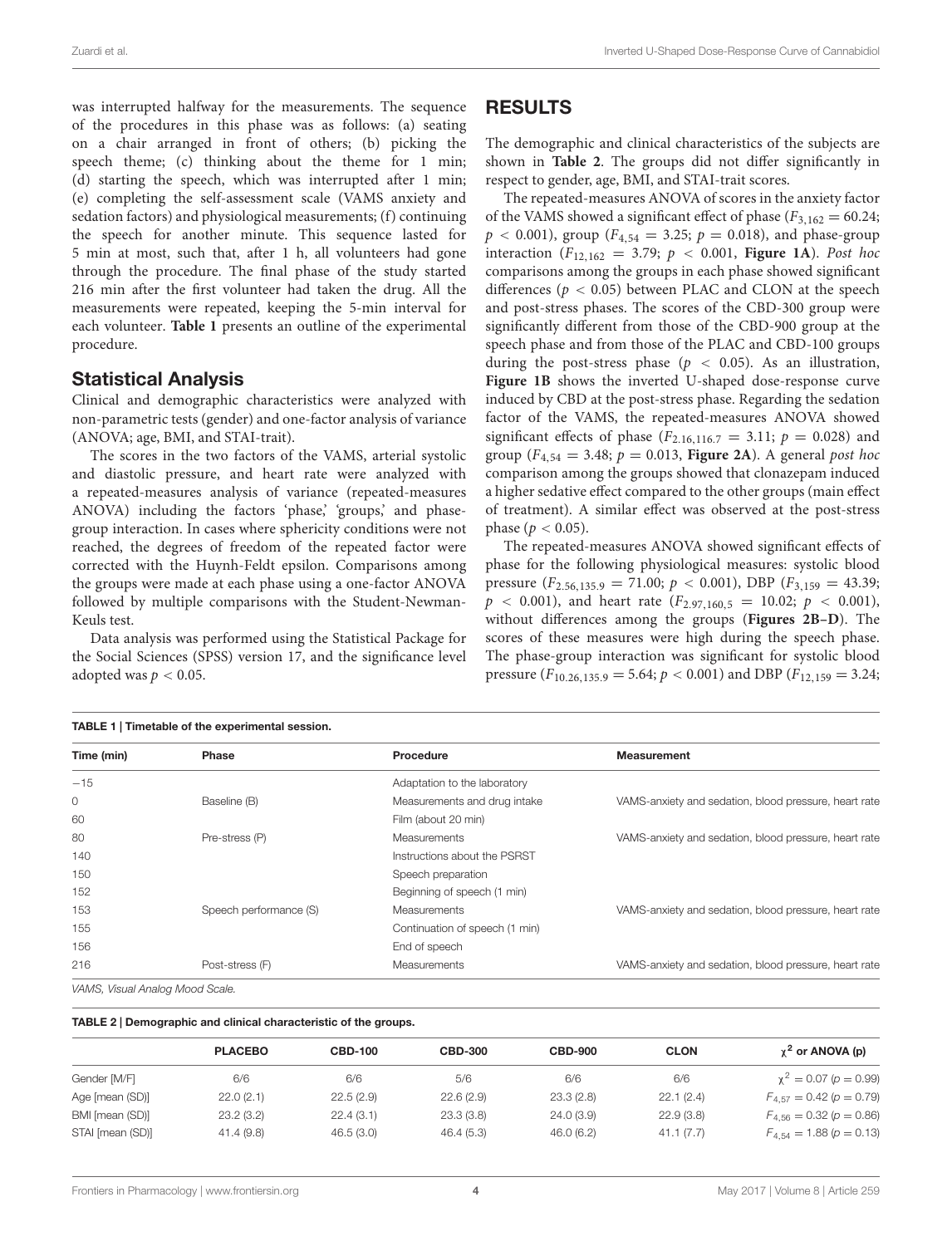was interrupted halfway for the measurements. The sequence of the procedures in this phase was as follows: (a) seating on a chair arranged in front of others; (b) picking the speech theme; (c) thinking about the theme for 1 min; (d) starting the speech, which was interrupted after 1 min; (e) completing the self-assessment scale (VAMS anxiety and sedation factors) and physiological measurements; (f) continuing the speech for another minute. This sequence lasted for 5 min at most, such that, after 1 h, all volunteers had gone through the procedure. The final phase of the study started 216 min after the first volunteer had taken the drug. All the measurements were repeated, keeping the 5-min interval for each volunteer. **[Table 1](#page-3-0)** presents an outline of the experimental procedure.

### Statistical Analysis

Clinical and demographic characteristics were analyzed with non-parametric tests (gender) and one-factor analysis of variance (ANOVA; age, BMI, and STAI-trait).

The scores in the two factors of the VAMS, arterial systolic and diastolic pressure, and heart rate were analyzed with a repeated-measures analysis of variance (repeated-measures ANOVA) including the factors 'phase,' 'groups,' and phasegroup interaction. In cases where sphericity conditions were not reached, the degrees of freedom of the repeated factor were corrected with the Huynh-Feldt epsilon. Comparisons among the groups were made at each phase using a one-factor ANOVA followed by multiple comparisons with the Student-Newman-Keuls test.

Data analysis was performed using the Statistical Package for the Social Sciences (SPSS) version 17, and the significance level adopted was  $p < 0.05$ .

| <b>RESULTS</b> |
|----------------|
|----------------|

The demographic and clinical characteristics of the subjects are shown in **[Table 2](#page-3-1)**. The groups did not differ significantly in respect to gender, age, BMI, and STAI-trait scores.

The repeated-measures ANOVA of scores in the anxiety factor of the VAMS showed a significant effect of phase ( $F_{3,162} = 60.24$ ;  $p < 0.001$ ), group ( $F_{4,54} = 3.25$ ;  $p = 0.018$ ), and phase-group interaction ( $F_{12,162} = 3.79$ ;  $p < 0.001$ , **[Figure 1A](#page-4-0)**). Post hoc comparisons among the groups in each phase showed significant differences ( $p < 0.05$ ) between PLAC and CLON at the speech and post-stress phases. The scores of the CBD-300 group were significantly different from those of the CBD-900 group at the speech phase and from those of the PLAC and CBD-100 groups during the post-stress phase ( $p < 0.05$ ). As an illustration, **[Figure 1B](#page-4-0)** shows the inverted U-shaped dose-response curve induced by CBD at the post-stress phase. Regarding the sedation factor of the VAMS, the repeated-measures ANOVA showed significant effects of phase ( $F_{2.16,116,7} = 3.11$ ;  $p = 0.028$ ) and group ( $F_{4,54} = 3.48$ ;  $p = 0.013$ , **[Figure 2A](#page-5-0)**). A general post hoc comparison among the groups showed that clonazepam induced a higher sedative effect compared to the other groups (main effect of treatment). A similar effect was observed at the post-stress phase ( $p < 0.05$ ).

The repeated-measures ANOVA showed significant effects of phase for the following physiological measures: systolic blood pressure  $(F_{2.56,135.9} = 71.00; p < 0.001)$ , DBP  $(F_{3,159} = 43.39;$  $p \sim 0.001$ ), and heart rate  $(F_{2.97,160,5} = 10.02; p \sim 0.001)$ , without differences among the groups (**[Figures 2B–D](#page-5-0)**). The scores of these measures were high during the speech phase. The phase-group interaction was significant for systolic blood pressure  $(F_{10.26,135.9} = 5.64; p < 0.001)$  and DBP  $(F_{12,159} = 3.24;$ 

<span id="page-3-0"></span>

| <b>TABLE 1   Timetable of the experimental session.</b>                 |                        |                                |                                                       |  |  |  |  |
|-------------------------------------------------------------------------|------------------------|--------------------------------|-------------------------------------------------------|--|--|--|--|
| Time (min)                                                              | <b>Phase</b>           | Procedure                      | <b>Measurement</b>                                    |  |  |  |  |
| $-15$                                                                   |                        | Adaptation to the laboratory   |                                                       |  |  |  |  |
| 0                                                                       | Baseline (B)           | Measurements and drug intake   | VAMS-anxiety and sedation, blood pressure, heart rate |  |  |  |  |
| 60                                                                      |                        | Film (about 20 min)            |                                                       |  |  |  |  |
| 80                                                                      | Pre-stress (P)         | Measurements                   | VAMS-anxiety and sedation, blood pressure, heart rate |  |  |  |  |
| 140                                                                     |                        | Instructions about the PSRST   |                                                       |  |  |  |  |
| 150                                                                     |                        | Speech preparation             |                                                       |  |  |  |  |
| 152                                                                     |                        | Beginning of speech (1 min)    |                                                       |  |  |  |  |
| 153                                                                     | Speech performance (S) | Measurements                   | VAMS-anxiety and sedation, blood pressure, heart rate |  |  |  |  |
| 155                                                                     |                        | Continuation of speech (1 min) |                                                       |  |  |  |  |
| 156                                                                     |                        | End of speech                  |                                                       |  |  |  |  |
| 216                                                                     | Post-stress (F)        | Measurements                   | VAMS-anxiety and sedation, blood pressure, heart rate |  |  |  |  |
| $1/4A$ $10$ $1/2$ $1/2$ $1/4$ $1/2$ $1/2$ $1/4$ $1/2$ $1/2$ $1/2$ $1/2$ |                        |                                |                                                       |  |  |  |  |

VAMS, Visual Analog Mood Scale.

#### <span id="page-3-1"></span>TABLE 2 | Demographic and clinical characteristic of the groups.

|                  | <b>PLACEBO</b> | <b>CBD-100</b> | <b>CBD-300</b> | <b>CBD-900</b> | <b>CLON</b> | $\chi^2$ or ANOVA (p)          |
|------------------|----------------|----------------|----------------|----------------|-------------|--------------------------------|
| Gender [M/F]     | 6/6            | 6/6            | 5/6            | 6/6            | 6/6         | $\chi^2 = 0.07$ ( $p = 0.99$ ) |
| Age [mean (SD)]  | 22.0(2.1)      | 22.5(2.9)      | 22.6(2.9)      | 23.3(2.8)      | 22.1(2.4)   | $F_{4.57} = 0.42$ (p = 0.79)   |
| BMI [mean (SD)]  | 23.2(3.2)      | 22.4(3.1)      | 23.3(3.8)      | 24.0(3.9)      | 22.9(3.8)   | $F_{4.56} = 0.32$ (p = 0.86)   |
| STAI [mean (SD)] | 41.4(9.8)      | 46.5(3.0)      | 46.4(5.3)      | 46.0(6.2)      | 41.1(7.7)   | $F_{4,54} = 1.88 (p = 0.13)$   |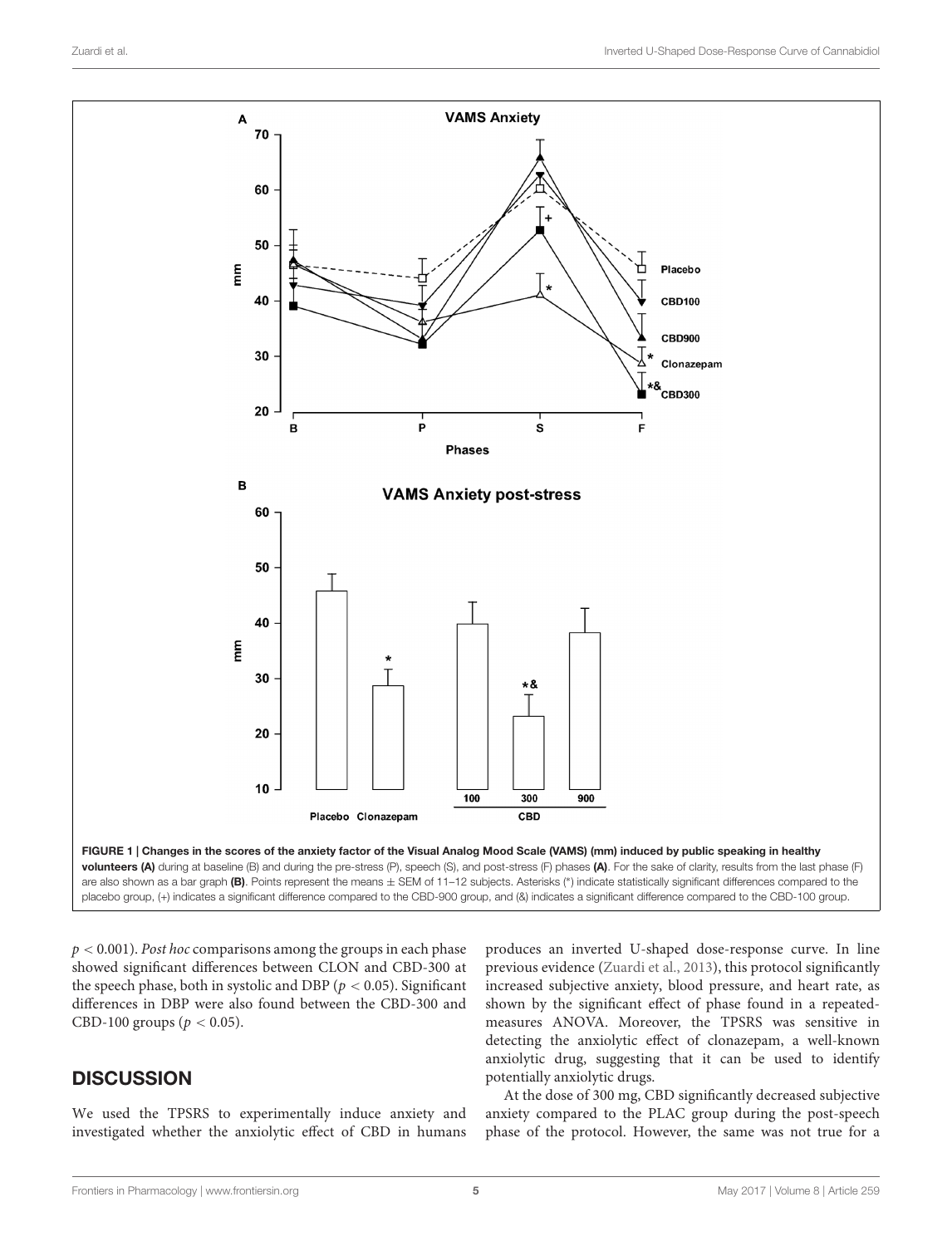

<span id="page-4-0"></span> $p < 0.001$ ). Post hoc comparisons among the groups in each phase showed significant differences between CLON and CBD-300 at the speech phase, both in systolic and DBP ( $p < 0.05$ ). Significant differences in DBP were also found between the CBD-300 and CBD-100 groups ( $p < 0.05$ ).

# **DISCUSSION**

We used the TPSRS to experimentally induce anxiety and investigated whether the anxiolytic effect of CBD in humans

produces an inverted U-shaped dose-response curve. In line previous evidence [\(Zuardi et al.,](#page-8-5) [2013\)](#page-8-5), this protocol significantly increased subjective anxiety, blood pressure, and heart rate, as shown by the significant effect of phase found in a repeatedmeasures ANOVA. Moreover, the TPSRS was sensitive in detecting the anxiolytic effect of clonazepam, a well-known anxiolytic drug, suggesting that it can be used to identify potentially anxiolytic drugs.

At the dose of 300 mg, CBD significantly decreased subjective anxiety compared to the PLAC group during the post-speech phase of the protocol. However, the same was not true for a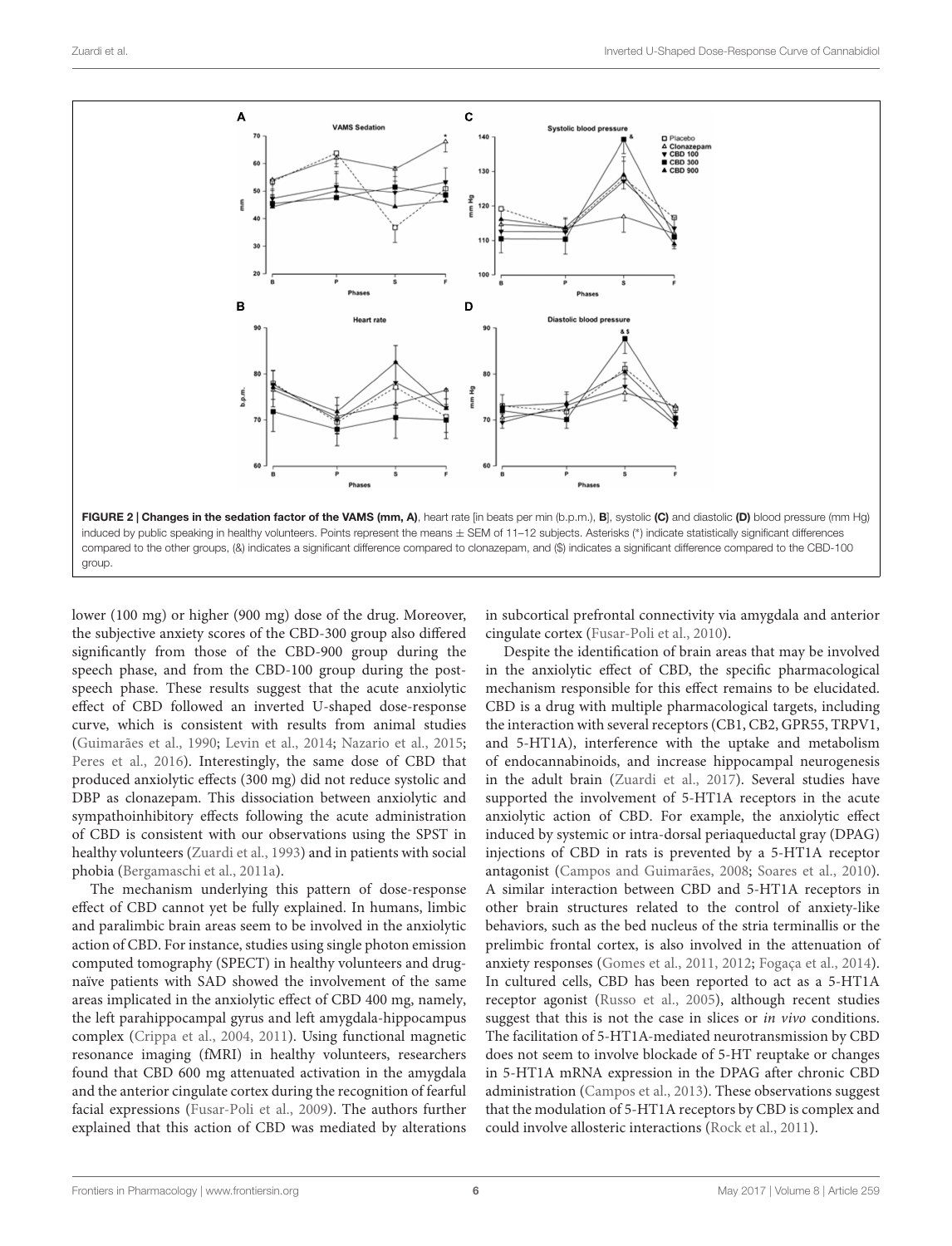

<span id="page-5-0"></span>lower (100 mg) or higher (900 mg) dose of the drug. Moreover, the subjective anxiety scores of the CBD-300 group also differed significantly from those of the CBD-900 group during the speech phase, and from the CBD-100 group during the postspeech phase. These results suggest that the acute anxiolytic effect of CBD followed an inverted U-shaped dose-response curve, which is consistent with results from animal studies [\(Guimarães et al.,](#page-7-1) [1990;](#page-7-1) [Levin et al.,](#page-7-12) [2014;](#page-7-12) [Nazario et al.,](#page-7-11) [2015;](#page-7-11) [Peres et al.,](#page-7-13) [2016\)](#page-7-13). Interestingly, the same dose of CBD that produced anxiolytic effects (300 mg) did not reduce systolic and DBP as clonazepam. This dissociation between anxiolytic and sympathoinhibitory effects following the acute administration of CBD is consistent with our observations using the SPST in healthy volunteers [\(Zuardi et al.,](#page-8-1) [1993\)](#page-8-1) and in patients with social phobia [\(Bergamaschi et al.,](#page-6-3) [2011a\)](#page-6-3).

The mechanism underlying this pattern of dose-response effect of CBD cannot yet be fully explained. In humans, limbic and paralimbic brain areas seem to be involved in the anxiolytic action of CBD. For instance, studies using single photon emission computed tomography (SPECT) in healthy volunteers and drugnaïve patients with SAD showed the involvement of the same areas implicated in the anxiolytic effect of CBD 400 mg, namely, the left parahippocampal gyrus and left amygdala-hippocampus complex [\(Crippa et al.,](#page-7-26) [2004,](#page-7-26) [2011\)](#page-7-16). Using functional magnetic resonance imaging (fMRI) in healthy volunteers, researchers found that CBD 600 mg attenuated activation in the amygdala and the anterior cingulate cortex during the recognition of fearful facial expressions [\(Fusar-Poli et al.,](#page-7-23) [2009\)](#page-7-23). The authors further explained that this action of CBD was mediated by alterations in subcortical prefrontal connectivity via amygdala and anterior cingulate cortex [\(Fusar-Poli et al.,](#page-7-27) [2010\)](#page-7-27).

Despite the identification of brain areas that may be involved in the anxiolytic effect of CBD, the specific pharmacological mechanism responsible for this effect remains to be elucidated. CBD is a drug with multiple pharmacological targets, including the interaction with several receptors (CB1, CB2, GPR55, TRPV1, and 5-HT1A), interference with the uptake and metabolism of endocannabinoids, and increase hippocampal neurogenesis in the adult brain [\(Zuardi et al.,](#page-8-10) [2017\)](#page-8-10). Several studies have supported the involvement of 5-HT1A receptors in the acute anxiolytic action of CBD. For example, the anxiolytic effect induced by systemic or intra-dorsal periaqueductal gray (DPAG) injections of CBD in rats is prevented by a 5-HT1A receptor antagonist [\(Campos and Guimarães,](#page-7-28) [2008;](#page-7-28) [Soares et al.,](#page-8-11) [2010\)](#page-8-11). A similar interaction between CBD and 5-HT1A receptors in other brain structures related to the control of anxiety-like behaviors, such as the bed nucleus of the stria terminallis or the prelimbic frontal cortex, is also involved in the attenuation of anxiety responses [\(Gomes et al.,](#page-7-29) [2011,](#page-7-29) [2012;](#page-7-30) [Fogaça et al.,](#page-7-31) [2014\)](#page-7-31). In cultured cells, CBD has been reported to act as a 5-HT1A receptor agonist [\(Russo et al.,](#page-7-32) [2005\)](#page-7-32), although recent studies suggest that this is not the case in slices or *in vivo* conditions. The facilitation of 5-HT1A-mediated neurotransmission by CBD does not seem to involve blockade of 5-HT reuptake or changes in 5-HT1A mRNA expression in the DPAG after chronic CBD administration [\(Campos et al.,](#page-6-6) [2013\)](#page-6-6). These observations suggest that the modulation of 5-HT1A receptors by CBD is complex and could involve allosteric interactions [\(Rock et al.,](#page-7-33) [2011\)](#page-7-33).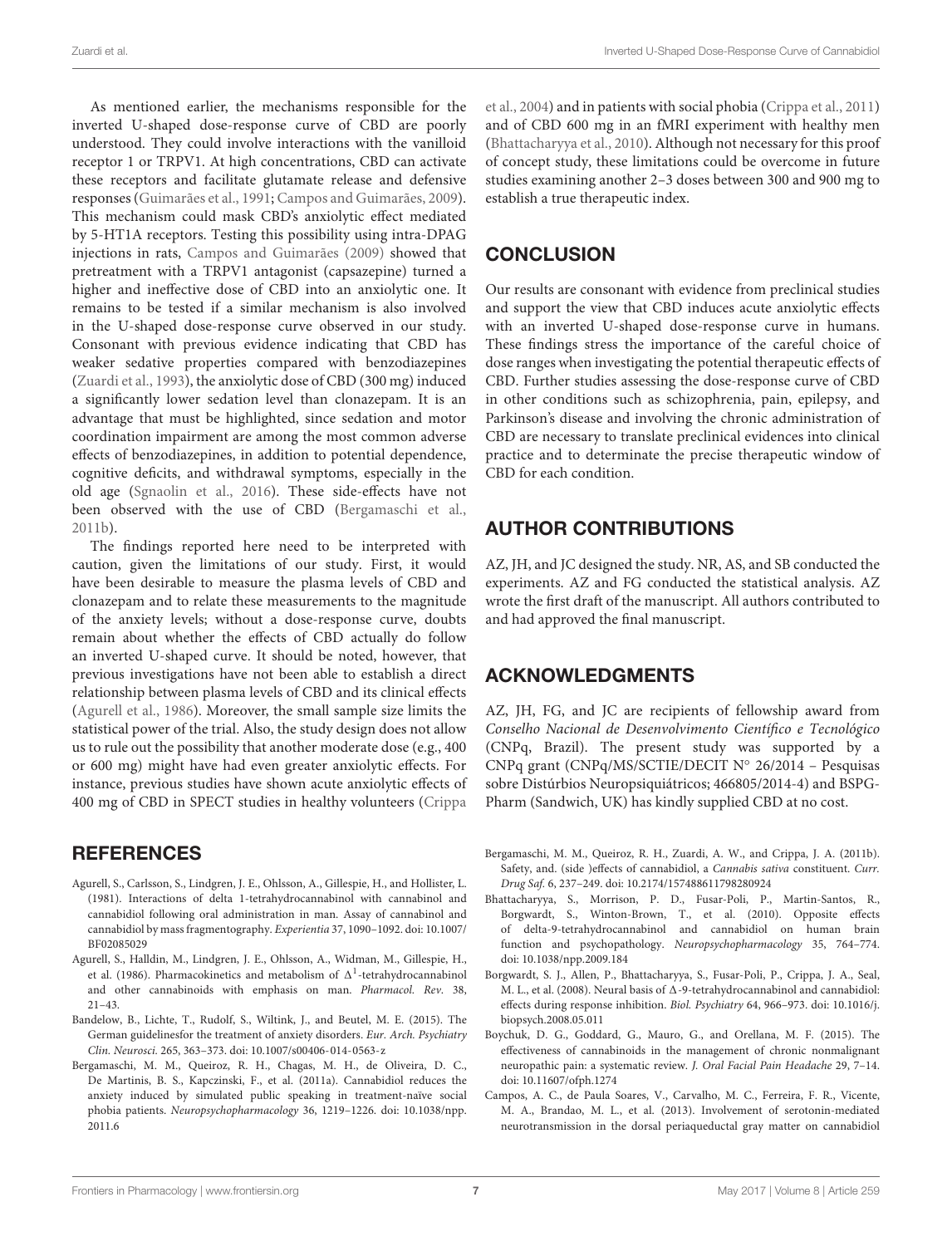As mentioned earlier, the mechanisms responsible for the inverted U-shaped dose-response curve of CBD are poorly understood. They could involve interactions with the vanilloid receptor 1 or TRPV1. At high concentrations, CBD can activate these receptors and facilitate glutamate release and defensive responses [\(Guimarães et al.,](#page-7-34) [1991;](#page-7-34) [Campos and Guimarães,](#page-7-35) [2009\)](#page-7-35). This mechanism could mask CBD's anxiolytic effect mediated by 5-HT1A receptors. Testing this possibility using intra-DPAG injections in rats, [Campos and Guimarães](#page-7-35) [\(2009\)](#page-7-35) showed that pretreatment with a TRPV1 antagonist (capsazepine) turned a higher and ineffective dose of CBD into an anxiolytic one. It remains to be tested if a similar mechanism is also involved in the U-shaped dose-response curve observed in our study. Consonant with previous evidence indicating that CBD has weaker sedative properties compared with benzodiazepines [\(Zuardi et al.,](#page-8-1) [1993\)](#page-8-1), the anxiolytic dose of CBD (300 mg) induced a significantly lower sedation level than clonazepam. It is an advantage that must be highlighted, since sedation and motor coordination impairment are among the most common adverse effects of benzodiazepines, in addition to potential dependence, cognitive deficits, and withdrawal symptoms, especially in the old age [\(Sgnaolin et al.,](#page-7-15) [2016\)](#page-7-15). These side-effects have not been observed with the use of CBD [\(Bergamaschi et al.,](#page-6-2) [2011b\)](#page-6-2).

The findings reported here need to be interpreted with caution, given the limitations of our study. First, it would have been desirable to measure the plasma levels of CBD and clonazepam and to relate these measurements to the magnitude of the anxiety levels; without a dose-response curve, doubts remain about whether the effects of CBD actually do follow an inverted U-shaped curve. It should be noted, however, that previous investigations have not been able to establish a direct relationship between plasma levels of CBD and its clinical effects [\(Agurell et al.,](#page-6-7) [1986\)](#page-6-7). Moreover, the small sample size limits the statistical power of the trial. Also, the study design does not allow us to rule out the possibility that another moderate dose (e.g., 400 or 600 mg) might have had even greater anxiolytic effects. For instance, previous studies have shown acute anxiolytic effects of 400 mg of CBD in SPECT studies in healthy volunteers [\(Crippa](#page-7-26)

# **REFERENCES**

- <span id="page-6-4"></span>Agurell, S., Carlsson, S., Lindgren, J. E., Ohlsson, A., Gillespie, H., and Hollister, L. (1981). Interactions of delta 1-tetrahydrocannabinol with cannabinol and cannabidiol following oral administration in man. Assay of cannabinol and cannabidiol by mass fragmentography. Experientia 37, 1090–1092. [doi: 10.1007/](https://doi.org/10.1007/BF02085029) [BF02085029](https://doi.org/10.1007/BF02085029)
- <span id="page-6-7"></span>Agurell, S., Halldin, M., Lindgren, J. E., Ohlsson, A., Widman, M., Gillespie, H., et al. (1986). Pharmacokinetics and metabolism of  $\Delta^1$ -tetrahydrocannabinol and other cannabinoids with emphasis on man. Pharmacol. Rev. 38, 21–43.
- <span id="page-6-1"></span>Bandelow, B., Lichte, T., Rudolf, S., Wiltink, J., and Beutel, M. E. (2015). The German guidelinesfor the treatment of anxiety disorders. Eur. Arch. Psychiatry Clin. Neurosci. 265, 363–373. [doi: 10.1007/s00406-014-0563-z](https://doi.org/10.1007/s00406-014-0563-z)
- <span id="page-6-3"></span>Bergamaschi, M. M., Queiroz, R. H., Chagas, M. H., de Oliveira, D. C., De Martinis, B. S., Kapczinski, F., et al. (2011a). Cannabidiol reduces the anxiety induced by simulated public speaking in treatment-naïve social phobia patients. Neuropsychopharmacology 36, 1219–1226. [doi: 10.1038/npp.](https://doi.org/10.1038/npp.2011.6) [2011.6](https://doi.org/10.1038/npp.2011.6)

[et al.,](#page-7-26) [2004\)](#page-7-26) and in patients with social phobia [\(Crippa et al.,](#page-7-16) [2011\)](#page-7-16) and of CBD 600 mg in an fMRI experiment with healthy men [\(Bhattacharyya et al.,](#page-6-8) [2010\)](#page-6-8). Although not necessary for this proof of concept study, these limitations could be overcome in future studies examining another 2–3 doses between 300 and 900 mg to establish a true therapeutic index.

# **CONCLUSION**

Our results are consonant with evidence from preclinical studies and support the view that CBD induces acute anxiolytic effects with an inverted U-shaped dose-response curve in humans. These findings stress the importance of the careful choice of dose ranges when investigating the potential therapeutic effects of CBD. Further studies assessing the dose-response curve of CBD in other conditions such as schizophrenia, pain, epilepsy, and Parkinson's disease and involving the chronic administration of CBD are necessary to translate preclinical evidences into clinical practice and to determinate the precise therapeutic window of CBD for each condition.

# AUTHOR CONTRIBUTIONS

AZ, JH, and JC designed the study. NR, AS, and SB conducted the experiments. AZ and FG conducted the statistical analysis. AZ wrote the first draft of the manuscript. All authors contributed to and had approved the final manuscript.

# ACKNOWLEDGMENTS

AZ, JH, FG, and JC are recipients of fellowship award from Conselho Nacional de Desenvolvimento Científico e Tecnológico (CNPq, Brazil). The present study was supported by a CNPq grant (CNPq/MS/SCTIE/DECIT N◦ 26/2014 – Pesquisas sobre Distúrbios Neuropsiquiátricos; 466805/2014-4) and BSPG-Pharm (Sandwich, UK) has kindly supplied CBD at no cost.

- <span id="page-6-2"></span>Bergamaschi, M. M., Queiroz, R. H., Zuardi, A. W., and Crippa, J. A. (2011b). Safety, and. (side )effects of cannabidiol, a Cannabis sativa constituent. Curr. Drug Saf. 6, 237–249. [doi: 10.2174/157488611798280924](https://doi.org/10.2174/157488611798280924)
- <span id="page-6-8"></span>Bhattacharyya, S., Morrison, P. D., Fusar-Poli, P., Martin-Santos, R., Borgwardt, S., Winton-Brown, T., et al. (2010). Opposite effects of delta-9-tetrahydrocannabinol and cannabidiol on human brain function and psychopathology. Neuropsychopharmacology 35, 764–774. [doi: 10.1038/npp.2009.184](https://doi.org/10.1038/npp.2009.184)
- <span id="page-6-5"></span>Borgwardt, S. J., Allen, P., Bhattacharyya, S., Fusar-Poli, P., Crippa, J. A., Seal, M. L., et al. (2008). Neural basis of  $\Delta$ -9-tetrahydrocannabinol and cannabidiol: effects during response inhibition. Biol. Psychiatry 64, 966–973. [doi: 10.1016/j.](https://doi.org/10.1016/j.biopsych.2008.05.011) [biopsych.2008.05.011](https://doi.org/10.1016/j.biopsych.2008.05.011)
- <span id="page-6-0"></span>Boychuk, D. G., Goddard, G., Mauro, G., and Orellana, M. F. (2015). The effectiveness of cannabinoids in the management of chronic nonmalignant neuropathic pain: a systematic review. J. Oral Facial Pain Headache 29, 7–14. [doi: 10.11607/ofph.1274](https://doi.org/10.11607/ofph.1274)
- <span id="page-6-6"></span>Campos, A. C., de Paula Soares, V., Carvalho, M. C., Ferreira, F. R., Vicente, M. A., Brandao, M. L., et al. (2013). Involvement of serotonin-mediated neurotransmission in the dorsal periaqueductal gray matter on cannabidiol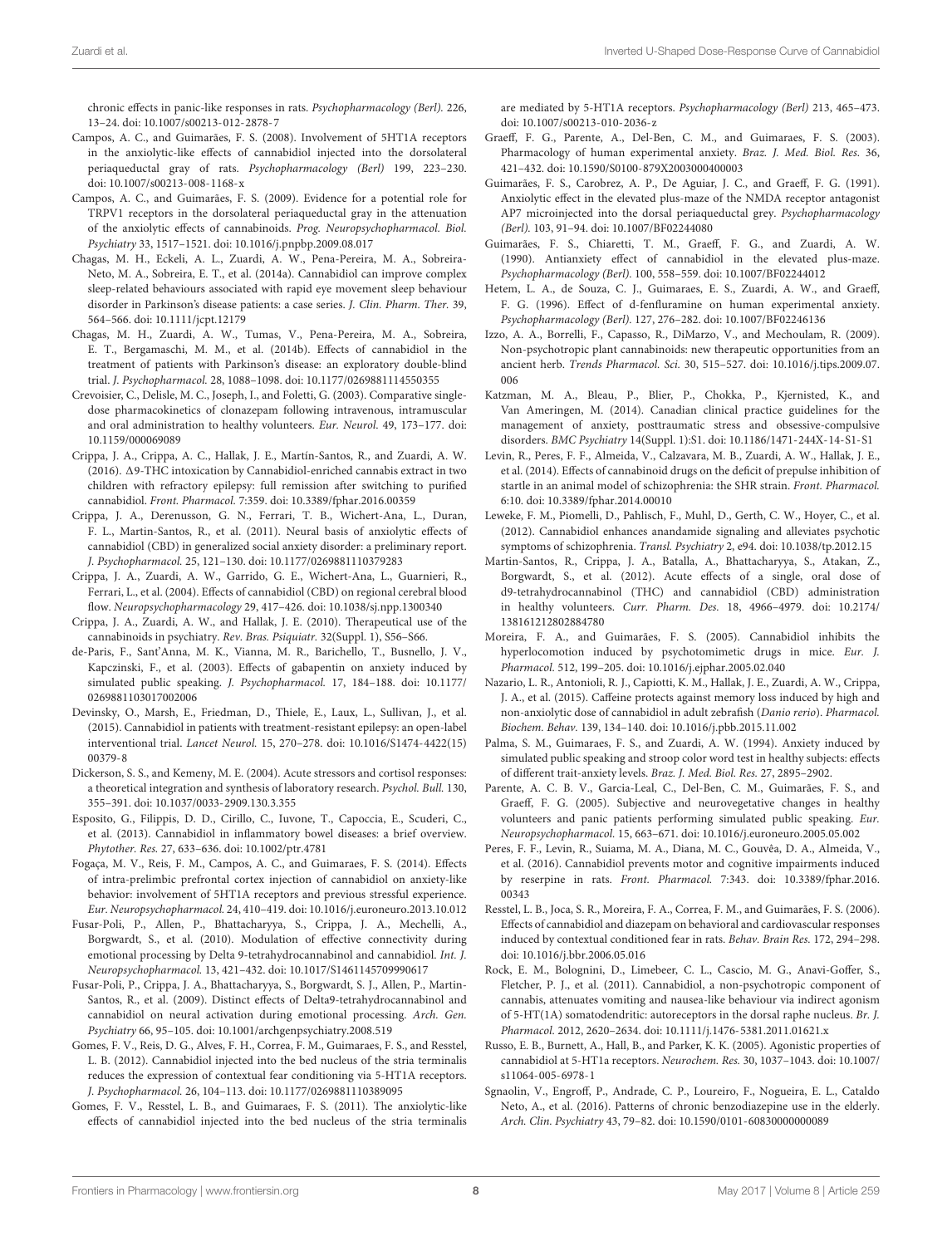chronic effects in panic-like responses in rats. Psychopharmacology (Berl). 226, 13–24. [doi: 10.1007/s00213-012-2878-7](https://doi.org/10.1007/s00213-012-2878-7)

- <span id="page-7-28"></span>Campos, A. C., and Guimarães, F. S. (2008). Involvement of 5HT1A receptors in the anxiolytic-like effects of cannabidiol injected into the dorsolateral periaqueductal gray of rats. Psychopharmacology (Berl) 199, 223–230. [doi: 10.1007/s00213-008-1168-x](https://doi.org/10.1007/s00213-008-1168-x)
- <span id="page-7-35"></span>Campos, A. C., and Guimarães, F. S. (2009). Evidence for a potential role for TRPV1 receptors in the dorsolateral periaqueductal gray in the attenuation of the anxiolytic effects of cannabinoids. Prog. Neuropsychopharmacol. Biol. Psychiatry 33, 1517–1521. [doi: 10.1016/j.pnpbp.2009.08.017](https://doi.org/10.1016/j.pnpbp.2009.08.017)
- <span id="page-7-6"></span>Chagas, M. H., Eckeli, A. L., Zuardi, A. W., Pena-Pereira, M. A., Sobreira-Neto, M. A., Sobreira, E. T., et al. (2014a). Cannabidiol can improve complex sleep-related behaviours associated with rapid eye movement sleep behaviour disorder in Parkinson's disease patients: a case series. J. Clin. Pharm. Ther. 39, 564–566. [doi: 10.1111/jcpt.12179](https://doi.org/10.1111/jcpt.12179)
- <span id="page-7-10"></span>Chagas, M. H., Zuardi, A. W., Tumas, V., Pena-Pereira, M. A., Sobreira, E. T., Bergamaschi, M. M., et al. (2014b). Effects of cannabidiol in the treatment of patients with Parkinson's disease: an exploratory double-blind trial. J. Psychopharmacol. 28, 1088–1098. [doi: 10.1177/0269881114550355](https://doi.org/10.1177/0269881114550355)
- <span id="page-7-22"></span>Crevoisier, C., Delisle, M. C., Joseph, I., and Foletti, G. (2003). Comparative singledose pharmacokinetics of clonazepam following intravenous, intramuscular and oral administration to healthy volunteers. Eur. Neurol. 49, 173–177. [doi:](https://doi.org/10.1159/000069089) [10.1159/000069089](https://doi.org/10.1159/000069089)
- <span id="page-7-8"></span>Crippa, J. A., Crippa, A. C., Hallak, J. E., Martín-Santos, R., and Zuardi, A. W. (2016).  $\Delta$ 9-THC intoxication by Cannabidiol-enriched cannabis extract in two children with refractory epilepsy: full remission after switching to purified cannabidiol. Front. Pharmacol. 7:359. [doi: 10.3389/fphar.2016.00359](https://doi.org/10.3389/fphar.2016.00359)
- <span id="page-7-16"></span>Crippa, J. A., Derenusson, G. N., Ferrari, T. B., Wichert-Ana, L., Duran, F. L., Martin-Santos, R., et al. (2011). Neural basis of anxiolytic effects of cannabidiol (CBD) in generalized social anxiety disorder: a preliminary report. J. Psychopharmacol. 25, 121–130. [doi: 10.1177/0269881110379283](https://doi.org/10.1177/0269881110379283)
- <span id="page-7-26"></span>Crippa, J. A., Zuardi, A. W., Garrido, G. E., Wichert-Ana, L., Guarnieri, R., Ferrari, L., et al. (2004). Effects of cannabidiol (CBD) on regional cerebral blood flow. Neuropsychopharmacology 29, 417–426. [doi: 10.1038/sj.npp.1300340](https://doi.org/10.1038/sj.npp.1300340)
- <span id="page-7-3"></span>Crippa, J. A., Zuardi, A. W., and Hallak, J. E. (2010). Therapeutical use of the cannabinoids in psychiatry. Rev. Bras. Psiquiatr. 32(Suppl. 1), S56–S66.
- <span id="page-7-20"></span>de-Paris, F., Sant'Anna, M. K., Vianna, M. R., Barichello, T., Busnello, J. V., Kapczinski, F., et al. (2003). Effects of gabapentin on anxiety induced by simulated public speaking. J. Psychopharmacol. 17, 184–188. [doi: 10.1177/](https://doi.org/10.1177/0269881103017002006) [0269881103017002006](https://doi.org/10.1177/0269881103017002006)
- <span id="page-7-7"></span>Devinsky, O., Marsh, E., Friedman, D., Thiele, E., Laux, L., Sullivan, J., et al. (2015). Cannabidiol in patients with treatment-resistant epilepsy: an open-label interventional trial. Lancet Neurol. 15, 270–278. [doi: 10.1016/S1474-4422\(15\)](https://doi.org/10.1016/S1474-4422(15)00379-8) [00379-8](https://doi.org/10.1016/S1474-4422(15)00379-8)
- <span id="page-7-21"></span>Dickerson, S. S., and Kemeny, M. E. (2004). Acute stressors and cortisol responses: a theoretical integration and synthesis of laboratory research. Psychol. Bull. 130, 355–391. [doi: 10.1037/0033-2909.130.3.355](https://doi.org/10.1037/0033-2909.130.3.355)
- <span id="page-7-9"></span>Esposito, G., Filippis, D. D., Cirillo, C., Iuvone, T., Capoccia, E., Scuderi, C., et al. (2013). Cannabidiol in inflammatory bowel diseases: a brief overview. Phytother. Res. 27, 633–636. [doi: 10.1002/ptr.4781](https://doi.org/10.1002/ptr.4781)
- <span id="page-7-31"></span>Fogaça, M. V., Reis, F. M., Campos, A. C., and Guimaraes, F. S. (2014). Effects of intra-prelimbic prefrontal cortex injection of cannabidiol on anxiety-like behavior: involvement of 5HT1A receptors and previous stressful experience. Eur. Neuropsychopharmacol. 24, 410–419. [doi: 10.1016/j.euroneuro.2013.10.012](https://doi.org/10.1016/j.euroneuro.2013.10.012)
- <span id="page-7-27"></span>Fusar-Poli, P., Allen, P., Bhattacharyya, S., Crippa, J. A., Mechelli, A., Borgwardt, S., et al. (2010). Modulation of effective connectivity during emotional processing by Delta 9-tetrahydrocannabinol and cannabidiol. Int. J. Neuropsychopharmacol. 13, 421–432. [doi: 10.1017/S1461145709990617](https://doi.org/10.1017/S1461145709990617)
- <span id="page-7-23"></span>Fusar-Poli, P., Crippa, J. A., Bhattacharyya, S., Borgwardt, S. J., Allen, P., Martin-Santos, R., et al. (2009). Distinct effects of Delta9-tetrahydrocannabinol and cannabidiol on neural activation during emotional processing. Arch. Gen. Psychiatry 66, 95–105. [doi: 10.1001/archgenpsychiatry.2008.519](https://doi.org/10.1001/archgenpsychiatry.2008.519)
- <span id="page-7-30"></span>Gomes, F. V., Reis, D. G., Alves, F. H., Correa, F. M., Guimaraes, F. S., and Resstel, L. B. (2012). Cannabidiol injected into the bed nucleus of the stria terminalis reduces the expression of contextual fear conditioning via 5-HT1A receptors. J. Psychopharmacol. 26, 104–113. [doi: 10.1177/0269881110389095](https://doi.org/10.1177/0269881110389095)
- <span id="page-7-29"></span>Gomes, F. V., Resstel, L. B., and Guimaraes, F. S. (2011). The anxiolytic-like effects of cannabidiol injected into the bed nucleus of the stria terminalis

are mediated by 5-HT1A receptors. Psychopharmacology (Berl) 213, 465–473. [doi: 10.1007/s00213-010-2036-z](https://doi.org/10.1007/s00213-010-2036-z)

- <span id="page-7-17"></span>Graeff, F. G., Parente, A., Del-Ben, C. M., and Guimaraes, F. S. (2003). Pharmacology of human experimental anxiety. Braz. J. Med. Biol. Res. 36, 421–432. [doi: 10.1590/S0100-879X2003000400003](https://doi.org/10.1590/S0100-879X2003000400003)
- <span id="page-7-34"></span>Guimarães, F. S., Carobrez, A. P., De Aguiar, J. C., and Graeff, F. G. (1991). Anxiolytic effect in the elevated plus-maze of the NMDA receptor antagonist AP7 microinjected into the dorsal periaqueductal grey. Psychopharmacology (Berl). 103, 91–94. [doi: 10.1007/BF02244080](https://doi.org/10.1007/BF02244080)
- <span id="page-7-1"></span>Guimarães, F. S., Chiaretti, T. M., Graeff, F. G., and Zuardi, A. W. (1990). Antianxiety effect of cannabidiol in the elevated plus-maze. Psychopharmacology (Berl). 100, 558–559. [doi: 10.1007/BF02244012](https://doi.org/10.1007/BF02244012)
- <span id="page-7-19"></span>Hetem, L. A., de Souza, C. J., Guimaraes, E. S., Zuardi, A. W., and Graeff, F. G. (1996). Effect of d-fenfluramine on human experimental anxiety. Psychopharmacology (Berl). 127, 276–282. [doi: 10.1007/BF02246136](https://doi.org/10.1007/BF02246136)
- <span id="page-7-0"></span>Izzo, A. A., Borrelli, F., Capasso, R., DiMarzo, V., and Mechoulam, R. (2009). Non-psychotropic plant cannabinoids: new therapeutic opportunities from an ancient herb. Trends Pharmacol. Sci. 30, 515–527. [doi: 10.1016/j.tips.2009.07.](https://doi.org/10.1016/j.tips.2009.07.006) [006](https://doi.org/10.1016/j.tips.2009.07.006)
- <span id="page-7-14"></span>Katzman, M. A., Bleau, P., Blier, P., Chokka, P., Kjernisted, K., and Van Ameringen, M. (2014). Canadian clinical practice guidelines for the management of anxiety, posttraumatic stress and obsessive-compulsive disorders. BMC Psychiatry 14(Suppl. 1):S1. [doi: 10.1186/1471-244X-14-S1-S1](https://doi.org/10.1186/1471-244X-14-S1-S1)
- <span id="page-7-12"></span>Levin, R., Peres, F. F., Almeida, V., Calzavara, M. B., Zuardi, A. W., Hallak, J. E., et al. (2014). Effects of cannabinoid drugs on the deficit of prepulse inhibition of startle in an animal model of schizophrenia: the SHR strain. Front. Pharmacol. 6:10. [doi: 10.3389/fphar.2014.00010](https://doi.org/10.3389/fphar.2014.00010)
- <span id="page-7-5"></span>Leweke, F. M., Piomelli, D., Pahlisch, F., Muhl, D., Gerth, C. W., Hoyer, C., et al. (2012). Cannabidiol enhances anandamide signaling and alleviates psychotic symptoms of schizophrenia. Transl. Psychiatry 2, e94. [doi: 10.1038/tp.2012.15](https://doi.org/10.1038/tp.2012.15)
- <span id="page-7-24"></span>Martin-Santos, R., Crippa, J. A., Batalla, A., Bhattacharyya, S., Atakan, Z., Borgwardt, S., et al. (2012). Acute effects of a single, oral dose of d9-tetrahydrocannabinol (THC) and cannabidiol (CBD) administration in healthy volunteers. Curr. Pharm. Des. 18, 4966–4979. [doi: 10.2174/](https://doi.org/10.2174/138161212802884780) [138161212802884780](https://doi.org/10.2174/138161212802884780)
- <span id="page-7-4"></span>Moreira, F. A., and Guimarães, F. S. (2005). Cannabidiol inhibits the hyperlocomotion induced by psychotomimetic drugs in mice. Eur. J. Pharmacol. 512, 199–205. [doi: 10.1016/j.ejphar.2005.02.040](https://doi.org/10.1016/j.ejphar.2005.02.040)
- <span id="page-7-11"></span>Nazario, L. R., Antonioli, R. J., Capiotti, K. M., Hallak, J. E., Zuardi, A. W., Crippa, J. A., et al. (2015). Caffeine protects against memory loss induced by high and non-anxiolytic dose of cannabidiol in adult zebrafish (Danio rerio). Pharmacol. Biochem. Behav. 139, 134–140. [doi: 10.1016/j.pbb.2015.11.002](https://doi.org/10.1016/j.pbb.2015.11.002)
- <span id="page-7-18"></span>Palma, S. M., Guimaraes, F. S., and Zuardi, A. W. (1994). Anxiety induced by simulated public speaking and stroop color word test in healthy subjects: effects of different trait-anxiety levels. Braz. J. Med. Biol. Res. 27, 2895–2902.
- <span id="page-7-25"></span>Parente, A. C. B. V., Garcia-Leal, C., Del-Ben, C. M., Guimarães, F. S., and Graeff, F. G. (2005). Subjective and neurovegetative changes in healthy volunteers and panic patients performing simulated public speaking. Eur. Neuropsychopharmacol. 15, 663–671. [doi: 10.1016/j.euroneuro.2005.05.002](https://doi.org/10.1016/j.euroneuro.2005.05.002)
- <span id="page-7-13"></span>Peres, F. F., Levin, R., Suiama, M. A., Diana, M. C., Gouvêa, D. A., Almeida, V., et al. (2016). Cannabidiol prevents motor and cognitive impairments induced by reserpine in rats. Front. Pharmacol. 7:343. [doi: 10.3389/fphar.2016.](https://doi.org/10.3389/fphar.2016.00343) [00343](https://doi.org/10.3389/fphar.2016.00343)
- <span id="page-7-2"></span>Resstel, L. B., Joca, S. R., Moreira, F. A., Correa, F. M., and Guimarães, F. S. (2006). Effects of cannabidiol and diazepam on behavioral and cardiovascular responses induced by contextual conditioned fear in rats. Behav. Brain Res. 172, 294–298. [doi: 10.1016/j.bbr.2006.05.016](https://doi.org/10.1016/j.bbr.2006.05.016)
- <span id="page-7-33"></span>Rock, E. M., Bolognini, D., Limebeer, C. L., Cascio, M. G., Anavi-Goffer, S., Fletcher, P. J., et al. (2011). Cannabidiol, a non-psychotropic component of cannabis, attenuates vomiting and nausea-like behaviour via indirect agonism of 5-HT(1A) somatodendritic: autoreceptors in the dorsal raphe nucleus. Br. J. Pharmacol. 2012, 2620–2634. [doi: 10.1111/j.1476-5381.2011.01621.x](https://doi.org/10.1111/j.1476-5381.2011.01621.x)
- <span id="page-7-32"></span>Russo, E. B., Burnett, A., Hall, B., and Parker, K. K. (2005). Agonistic properties of cannabidiol at 5-HT1a receptors. Neurochem. Res. 30, 1037–1043. [doi: 10.1007/](https://doi.org/10.1007/s11064-005-6978-1) [s11064-005-6978-1](https://doi.org/10.1007/s11064-005-6978-1)
- <span id="page-7-15"></span>Sgnaolin, V., Engroff, P., Andrade, C. P., Loureiro, F., Nogueira, E. L., Cataldo Neto, A., et al. (2016). Patterns of chronic benzodiazepine use in the elderly. Arch. Clin. Psychiatry 43, 79–82. [doi: 10.1590/0101-60830000000089](https://doi.org/10.1590/0101-60830000000089)